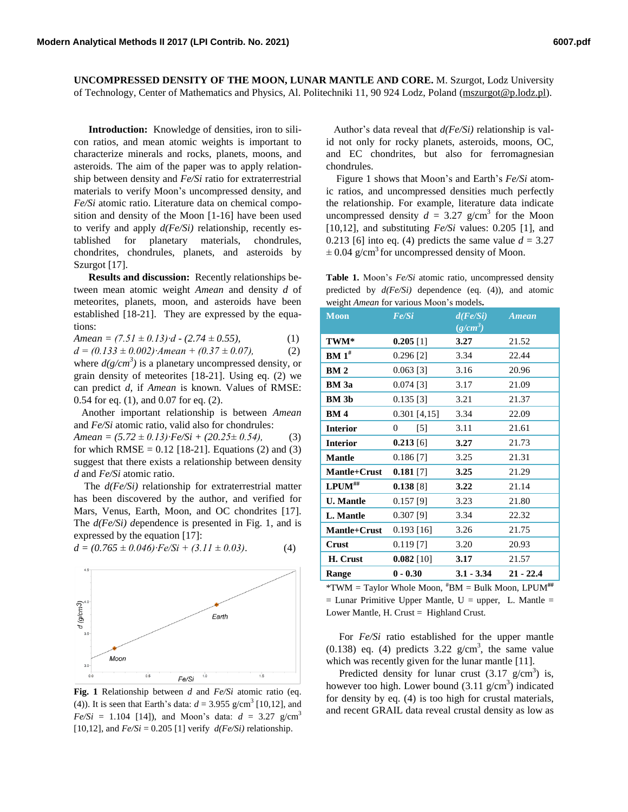**UNCOMPRESSED DENSITY OF THE MOON, LUNAR MANTLE AND CORE.** M. Szurgot, Lodz University of Technology, Center of Mathematics and Physics, Al. Politechniki 11, 90 924 Lodz, Poland [\(mszurgot@p.lodz.pl\)](mailto:mszurgot@p.lodz.pl).

**Introduction:** Knowledge of densities, iron to silicon ratios, and mean atomic weights is important to characterize minerals and rocks, planets, moons, and asteroids. The aim of the paper was to apply relationship between density and *Fe/Si* ratio for extraterrestrial materials to verify Moon's uncompressed density, and *Fe/Si* atomic ratio. Literature data on chemical composition and density of the Moon [1-16] have been used to verify and apply *d(Fe/Si)* relationship, recently established for planetary materials, chondrules, chondrites, chondrules, planets, and asteroids by Szurgot [17].

**Results and discussion:** Recently relationships between mean atomic weight *Amean* and density *d* of meteorites, planets, moon, and asteroids have been established [18-21]. They are expressed by the equations:

$$
Amean = (7.51 \pm 0.13) \cdot d - (2.74 \pm 0.55), \tag{1}
$$

*d = (0.133 ± 0.002)∙Amean + (0.37 ± 0.07),* (2) where  $d(g/cm^3)$  is a planetary uncompressed density, or grain density of meteorites [18-21]. Using eq. (2) we can predict *d,* if *Amean* is known. Values of RMSE: 0.54 for eq. (1), and 0.07 for eq. (2).

 Another important relationship is between *Amean* and *Fe/Si* atomic ratio, valid also for chondrules:

*Amean = (5.72 ± 0.13)∙Fe/Si + (20.25± 0.54),* (3) for which  $RMSE = 0.12$  [18-21]. Equations (2) and (3) suggest that there exists a relationship between density *d* and *Fe/Si* atomic ratio.

 The *d(Fe/Si)* relationship for extraterrestrial matter has been discovered by the author, and verified for Mars, Venus, Earth, Moon, and OC chondrites [17]. The  $d(Fe/Si)$  dependence is presented in Fig. 1, and is expressed by the equation [17]:

$$
d = (0.765 \pm 0.046) \cdot Fe/Si + (3.11 \pm 0.03). \tag{4}
$$



**Fig. 1** Relationship between *d* and *Fe/Si* atomic ratio (eq. (4)). It is seen that Earth's data:  $d = 3.955$  g/cm<sup>3</sup> [10,12], and  $Fe/Si = 1.104$  [14]), and Moon's data:  $d = 3.27$  g/cm<sup>3</sup> [10,12], and  $Fe/Si = 0.205$  [1] verify  $d(Fe/Si)$  relationship.

 Author's data reveal that *d(Fe/Si)* relationship is valid not only for rocky planets, asteroids, moons, OC, and EC chondrites, but also for ferromagnesian chondrules.

Figure 1 shows that Moon's and Earth's *Fe/Si* atomic ratios, and uncompressed densities much perfectly the relationship. For example, literature data indicate uncompressed density  $d = 3.27$  g/cm<sup>3</sup> for the Moon [10,12], and substituting *Fe/Si* values: 0.205 [1], and 0.213 [6] into eq. (4) predicts the same value  $d = 3.27$  $\pm$  0.04 g/cm<sup>3</sup> for uncompressed density of Moon.

**Table 1.** Moon's *Fe/Si* atomic ratio, uncompressed density predicted by *d(Fe/Si)* dependence (eq. (4)), and atomic weight *Amean* for various Moon's models**.**

| <b>Moon</b>       | Fe/Si                  | d(Fe/Si)<br>$(g/cm^3)$ | <b>Amean</b>    |
|-------------------|------------------------|------------------------|-----------------|
| TWM*              | $0.205$ [1]            | 3.27                   | 21.52           |
| BM 1 <sup>#</sup> | 0.296[2]               | 3.34                   | 22.44           |
| BM <sub>2</sub>   | $0.063$ [3]            | 3.16                   | 20.96           |
| <b>BM</b> 3a      | $0.074$ [3]            | 3.17                   | 21.09           |
| <b>BM</b> 3b      | $0.135$ [3]            | 3.21                   | 21.37           |
| <b>BM4</b>        | $0.301$ [4,15]         | 3.34                   | 22.09           |
| <b>Interior</b>   | 0<br>$[5]$             | 3.11                   | 21.61           |
| <b>Interior</b>   | $0.213$ [6]            | 3.27                   | 21.73           |
| <b>Mantle</b>     | $0.186$ <sup>[7]</sup> | 3.25                   | 21.31           |
| Mantle+Crust      | $0.181$ [7]            | 3.25                   | 21.29           |
| $L$ PUM $\#$      | 0.138[8]               | 3.22                   | 21.14           |
| <b>U.</b> Mantle  | $0.157$ [9]            | 3.23                   | 21.80           |
| L. Mantle         | $0.307$ [9]            | 3.34                   | 22.32           |
| Mantle+Crust      | $0.193$ [16]           | 3.26                   | 21.75           |
| Crust             | $0.119$ [7]            | 3.20                   | 20.93           |
| H. Crust          | $0.082$ [10]           | 3.17                   | 21.57           |
| Range             | $0 - 0.30$<br>$\mu$    | $3.1 - 3.34$           | $21 - 22.4$<br> |

\*TWM = Taylor Whole Moon, #BM = Bulk Moon, LPUM**##**  $=$  Lunar Primitive Upper Mantle, U  $=$  upper, L. Mantle  $=$ Lower Mantle, H. Crust = Highland Crust.

 For *Fe/Si* ratio established for the upper mantle  $(0.138)$  eq. (4) predicts  $3.22$  g/cm<sup>3</sup>, the same value which was recently given for the lunar mantle [11].

Predicted density for lunar crust  $(3.17 \text{ g/cm}^3)$  is, however too high. Lower bound  $(3.11 \text{ g/cm}^3)$  indicated for density by eq. (4) is too high for crustal materials, and recent GRAIL data reveal crustal density as low as